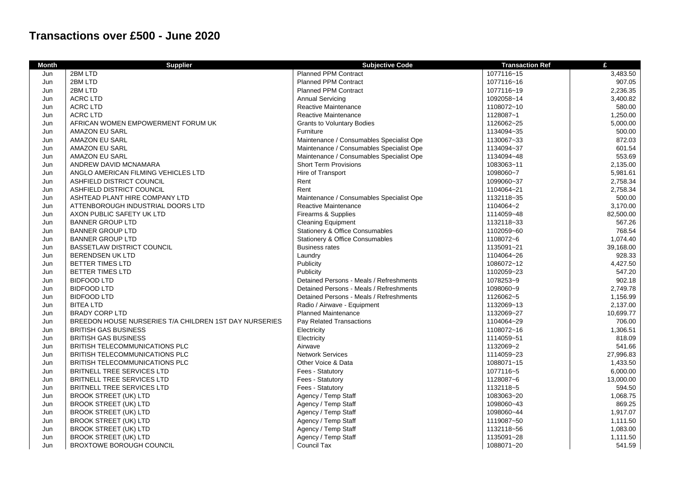## **Transactions over £500 - June 2020**

| <b>Month</b> | <b>Supplier</b>                                        | <b>Subjective Code</b>                   | <b>Transaction Ref</b> | £         |
|--------------|--------------------------------------------------------|------------------------------------------|------------------------|-----------|
| Jun          | 2BM LTD                                                | <b>Planned PPM Contract</b>              | 1077116~15             | 3,483.50  |
| Jun          | 2BM LTD                                                | <b>Planned PPM Contract</b>              | 1077116~16             | 907.05    |
| Jun          | 2BM LTD                                                | <b>Planned PPM Contract</b>              | 1077116~19             | 2,236.35  |
| Jun          | <b>ACRC LTD</b>                                        | <b>Annual Servicing</b>                  | 1092058~14             | 3,400.82  |
| Jun          | <b>ACRC LTD</b>                                        | <b>Reactive Maintenance</b>              | 1108072~10             | 580.00    |
| Jun          | <b>ACRC LTD</b>                                        | <b>Reactive Maintenance</b>              | 1128087~1              | 1,250.00  |
| Jun          | AFRICAN WOMEN EMPOWERMENT FORUM UK                     | <b>Grants to Voluntary Bodies</b>        | 1126062~25             | 5,000.00  |
| Jun          | AMAZON EU SARL                                         | Furniture                                | 1134094~35             | 500.00    |
| Jun          | <b>AMAZON EU SARL</b>                                  | Maintenance / Consumables Specialist Ope | 1130067~33             | 872.03    |
| Jun          | AMAZON EU SARL                                         | Maintenance / Consumables Specialist Ope | 1134094~37             | 601.54    |
| Jun          | AMAZON EU SARL                                         | Maintenance / Consumables Specialist Ope | 1134094~48             | 553.69    |
| Jun          | ANDREW DAVID MCNAMARA                                  | <b>Short Term Provisions</b>             | 1083063~11             | 2,135.00  |
| Jun          | ANGLO AMERICAN FILMING VEHICLES LTD                    | Hire of Transport                        | 1098060~7              | 5,981.61  |
| Jun          | ASHFIELD DISTRICT COUNCIL                              | Rent                                     | 1099060~37             | 2,758.34  |
| Jun          | ASHFIELD DISTRICT COUNCIL                              | Rent                                     | 1104064~21             | 2,758.34  |
| Jun          | ASHTEAD PLANT HIRE COMPANY LTD                         | Maintenance / Consumables Specialist Ope | 1132118~35             | 500.00    |
| Jun          | ATTENBOROUGH INDUSTRIAL DOORS LTD                      | <b>Reactive Maintenance</b>              | 1104064~2              | 3,170.00  |
| Jun          | AXON PUBLIC SAFETY UK LTD                              | Firearms & Supplies                      | 1114059~48             | 82,500.00 |
| Jun          | <b>BANNER GROUP LTD</b>                                | <b>Cleaning Equipment</b>                | 1132118~33             | 567.26    |
| Jun          | <b>BANNER GROUP LTD</b>                                | Stationery & Office Consumables          | 1102059~60             | 768.54    |
| Jun          | <b>BANNER GROUP LTD</b>                                | Stationery & Office Consumables          | 1108072~6              | 1,074.40  |
| Jun          | <b>BASSETLAW DISTRICT COUNCIL</b>                      | <b>Business rates</b>                    | 1135091~21             | 39,168.00 |
| Jun          | <b>BERENDSEN UK LTD</b>                                | Laundry                                  | 1104064~26             | 928.33    |
| Jun          | <b>BETTER TIMES LTD</b>                                | Publicity                                | 1086072~12             | 4,427.50  |
| Jun          | <b>BETTER TIMES LTD</b>                                | Publicity                                | 1102059~23             | 547.20    |
| Jun          | <b>BIDFOOD LTD</b>                                     | Detained Persons - Meals / Refreshments  | 1078253~9              | 902.18    |
| Jun          | <b>BIDFOOD LTD</b>                                     | Detained Persons - Meals / Refreshments  | 1098060~9              | 2.749.78  |
| Jun          | <b>BIDFOOD LTD</b>                                     | Detained Persons - Meals / Refreshments  | 1126062~5              | 1,156.99  |
| Jun          | <b>BITEA LTD</b>                                       | Radio / Airwave - Equipment              | 1132069~13             | 2,137.00  |
| Jun          | <b>BRADY CORP LTD</b>                                  | <b>Planned Maintenance</b>               | 1132069~27             | 10,699.77 |
| Jun          | BREEDON HOUSE NURSERIES T/A CHILDREN 1ST DAY NURSERIES | Pay Related Transactions                 | 1104064~29             | 706.00    |
| Jun          | <b>BRITISH GAS BUSINESS</b>                            | Electricity                              | 1108072~16             | 1,306.51  |
| Jun          | <b>BRITISH GAS BUSINESS</b>                            | Electricity                              | 1114059~51             | 818.09    |
| Jun          | <b>BRITISH TELECOMMUNICATIONS PLC</b>                  | Airwave                                  | 1132069~2              | 541.66    |
| Jun          | <b>BRITISH TELECOMMUNICATIONS PLC</b>                  | <b>Network Services</b>                  | 1114059~23             | 27,996.83 |
| Jun          | BRITISH TELECOMMUNICATIONS PLC                         | Other Voice & Data                       | 1088071~15             | 1,433.50  |
| Jun          | BRITNELL TREE SERVICES LTD                             | Fees - Statutory                         | 1077116~5              | 6,000.00  |
| Jun          | BRITNELL TREE SERVICES LTD                             | Fees - Statutory                         | 1128087~6              | 13,000.00 |
| Jun          | BRITNELL TREE SERVICES LTD                             | Fees - Statutory                         | 1132118~5              | 594.50    |
| Jun          | <b>BROOK STREET (UK) LTD</b>                           | Agency / Temp Staff                      | 1083063~20             | 1,068.75  |
| Jun          | <b>BROOK STREET (UK) LTD</b>                           | Agency / Temp Staff                      | 1098060~43             | 869.25    |
| Jun          | <b>BROOK STREET (UK) LTD</b>                           | Agency / Temp Staff                      | 1098060~44             | 1,917.07  |
| Jun          | <b>BROOK STREET (UK) LTD</b>                           | Agency / Temp Staff                      | 1119087~50             | 1,111.50  |
| Jun          | <b>BROOK STREET (UK) LTD</b>                           | Agency / Temp Staff                      | 1132118~56             | 1,083.00  |
| Jun          | <b>BROOK STREET (UK) LTD</b>                           | Agency / Temp Staff                      | 1135091~28             | 1,111.50  |
| Jun          | <b>BROXTOWE BOROUGH COUNCIL</b>                        | Council Tax                              | 1088071~20             | 541.59    |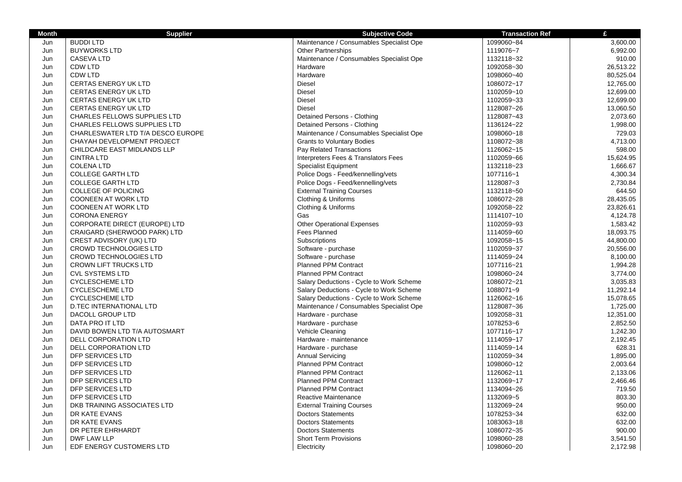| <b>Month</b> | <b>Supplier</b>                     | <b>Subjective Code</b>                   | <b>Transaction Ref</b> | £         |
|--------------|-------------------------------------|------------------------------------------|------------------------|-----------|
| Jun          | <b>BUDDILTD</b>                     | Maintenance / Consumables Specialist Ope | 1099060~84             | 3,600.00  |
| Jun          | <b>BUYWORKS LTD</b>                 | <b>Other Partnerships</b>                | 1119076~7              | 6,992.00  |
| Jun          | <b>CASEVALTD</b>                    | Maintenance / Consumables Specialist Ope | 1132118~32             | 910.00    |
| Jun          | <b>CDW LTD</b>                      | Hardware                                 | 1092058~30             | 26,513.22 |
| Jun          | <b>CDW LTD</b>                      | Hardware                                 | 1098060~40             | 80,525.04 |
| Jun          | <b>CERTAS ENERGY UK LTD</b>         | <b>Diesel</b>                            | 1086072~17             | 12,765.00 |
| Jun          | <b>CERTAS ENERGY UK LTD</b>         | <b>Diesel</b>                            | 1102059~10             | 12,699.00 |
| Jun          | <b>CERTAS ENERGY UK LTD</b>         | <b>Diesel</b>                            | 1102059~33             | 12,699.00 |
| Jun          | <b>CERTAS ENERGY UK LTD</b>         | Diesel                                   | 1128087~26             | 13,060.50 |
| Jun          | CHARLES FELLOWS SUPPLIES LTD        | Detained Persons - Clothing              | 1128087~43             | 2,073.60  |
| Jun          | <b>CHARLES FELLOWS SUPPLIES LTD</b> | Detained Persons - Clothing              | 1136124~22             | 1,998.00  |
| Jun          | CHARLESWATER LTD T/A DESCO EUROPE   | Maintenance / Consumables Specialist Ope | 1098060~18             | 729.03    |
| Jun          | CHAYAH DEVELOPMENT PROJECT          | <b>Grants to Voluntary Bodies</b>        | 1108072~38             | 4,713.00  |
| Jun          | CHILDCARE EAST MIDLANDS LLP         | Pay Related Transactions                 | 1126062~15             | 598.00    |
| Jun          | <b>CINTRA LTD</b>                   | Interpreters Fees & Translators Fees     | 1102059~66             | 15,624.95 |
| Jun          | <b>COLENA LTD</b>                   | <b>Specialist Equipment</b>              | 1132118~23             | 1,666.67  |
| Jun          | <b>COLLEGE GARTH LTD</b>            | Police Dogs - Feed/kennelling/vets       | 1077116~1              | 4,300.34  |
| Jun          | <b>COLLEGE GARTH LTD</b>            | Police Dogs - Feed/kennelling/vets       | 1128087~3              | 2,730.84  |
| Jun          | <b>COLLEGE OF POLICING</b>          | <b>External Training Courses</b>         | 1132118~50             | 644.50    |
| Jun          | <b>COONEEN AT WORK LTD</b>          | Clothing & Uniforms                      | 1086072~28             | 28,435.05 |
| Jun          | <b>COONEEN AT WORK LTD</b>          | Clothing & Uniforms                      | 1092058~22             | 23,826.61 |
| Jun          | <b>CORONA ENERGY</b>                | Gas                                      | 1114107~10             | 4,124.78  |
| Jun          | CORPORATE DIRECT (EUROPE) LTD       | <b>Other Operational Expenses</b>        | 1102059~93             | 1,583.42  |
| Jun          | CRAIGARD (SHERWOOD PARK) LTD        | <b>Fees Planned</b>                      | 1114059~60             | 18,093.75 |
| Jun          | <b>CREST ADVISORY (UK) LTD</b>      | Subscriptions                            | 1092058~15             | 44,800.00 |
| Jun          | <b>CROWD TECHNOLOGIES LTD</b>       | Software - purchase                      | 1102059~37             | 20,556.00 |
| Jun          | <b>CROWD TECHNOLOGIES LTD</b>       | Software - purchase                      | 1114059~24             | 8,100.00  |
| Jun          | <b>CROWN LIFT TRUCKS LTD</b>        | Planned PPM Contract                     | 1077116~21             | 1,994.28  |
| Jun          | <b>CVL SYSTEMS LTD</b>              | <b>Planned PPM Contract</b>              | 1098060~24             | 3,774.00  |
| Jun          | <b>CYCLESCHEME LTD</b>              | Salary Deductions - Cycle to Work Scheme | 1086072~21             | 3,035.83  |
| Jun          | <b>CYCLESCHEME LTD</b>              | Salary Deductions - Cycle to Work Scheme | 1088071~9              | 11,292.14 |
| Jun          | <b>CYCLESCHEME LTD</b>              | Salary Deductions - Cycle to Work Scheme | 1126062~16             | 15,078.65 |
| Jun          | <b>D.TEC INTERNATIONAL LTD</b>      | Maintenance / Consumables Specialist Ope | 1128087~36             | 1,725.00  |
| Jun          | DACOLL GROUP LTD                    | Hardware - purchase                      | 1092058~31             | 12,351.00 |
| Jun          | DATA PRO IT LTD                     | Hardware - purchase                      | 1078253~6              | 2,852.50  |
| Jun          | DAVID BOWEN LTD T/A AUTOSMART       | Vehicle Cleaning                         | 1077116~17             | 1,242.30  |
| Jun          | DELL CORPORATION LTD                | Hardware - maintenance                   | 1114059~17             | 2,192.45  |
| Jun          | DELL CORPORATION LTD                | Hardware - purchase                      | 1114059~14             | 628.31    |
| Jun          | <b>DFP SERVICES LTD</b>             | <b>Annual Servicing</b>                  | 1102059~34             | 1,895.00  |
| Jun          | <b>DFP SERVICES LTD</b>             | <b>Planned PPM Contract</b>              | 1098060~12             | 2,003.64  |
| Jun          | DFP SERVICES LTD                    | <b>Planned PPM Contract</b>              | 1126062~11             | 2,133.06  |
| Jun          | <b>DFP SERVICES LTD</b>             | <b>Planned PPM Contract</b>              | 1132069~17             | 2.466.46  |
| Jun          | DFP SERVICES LTD                    | <b>Planned PPM Contract</b>              | 1134094~26             | 719.50    |
| Jun          | DFP SERVICES LTD                    | Reactive Maintenance                     | 1132069~5              | 803.30    |
| Jun          | DKB TRAINING ASSOCIATES LTD         | <b>External Training Courses</b>         | 1132069~24             | 950.00    |
| Jun          | DR KATE EVANS                       | <b>Doctors Statements</b>                | 1078253~34             | 632.00    |
| Jun          | DR KATE EVANS                       | <b>Doctors Statements</b>                | 1083063~18             | 632.00    |
| Jun          | DR PETER EHRHARDT                   | <b>Doctors Statements</b>                | 1086072~35             | 900.00    |
| Jun          | DWF LAW LLP                         | <b>Short Term Provisions</b>             | 1098060~28             | 3.541.50  |
| Jun          | EDF ENERGY CUSTOMERS LTD            | Electricity                              | 1098060~20             | 2,172.98  |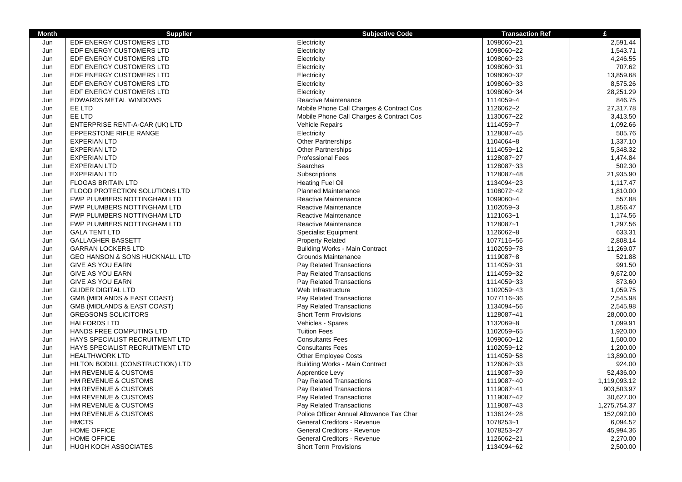| <b>Month</b> | <b>Supplier</b>                           | <b>Subjective Code</b>                   | <b>Transaction Ref</b> | £            |
|--------------|-------------------------------------------|------------------------------------------|------------------------|--------------|
| Jun          | EDF ENERGY CUSTOMERS LTD                  | Electricity                              | 1098060~21             | 2,591.44     |
| Jun          | EDF ENERGY CUSTOMERS LTD                  | Electricity                              | 1098060~22             | 1,543.71     |
| Jun          | EDF ENERGY CUSTOMERS LTD                  | Electricity                              | 1098060~23             | 4,246.55     |
| Jun          | EDF ENERGY CUSTOMERS LTD                  | Electricity                              | 1098060~31             | 707.62       |
| Jun          | EDF ENERGY CUSTOMERS LTD                  | Electricity                              | 1098060~32             | 13,859.68    |
| Jun          | EDF ENERGY CUSTOMERS LTD                  | Electricity                              | 1098060~33             | 8,575.26     |
| Jun          | EDF ENERGY CUSTOMERS LTD                  | Electricity                              | 1098060~34             | 28,251.29    |
| Jun          | <b>EDWARDS METAL WINDOWS</b>              | Reactive Maintenance                     | 1114059~4              | 846.75       |
| Jun          | EE LTD                                    | Mobile Phone Call Charges & Contract Cos | 1126062~2              | 27,317.78    |
| Jun          | EE LTD                                    | Mobile Phone Call Charges & Contract Cos | 1130067~22             | 3,413.50     |
| Jun          | ENTERPRISE RENT-A-CAR (UK) LTD            | <b>Vehicle Repairs</b>                   | 1114059~7              | 1,092.66     |
| Jun          | <b>EPPERSTONE RIFLE RANGE</b>             | Electricity                              | 1128087~45             | 505.76       |
| Jun          | <b>EXPERIAN LTD</b>                       | Other Partnerships                       | 1104064~8              | 1,337.10     |
| Jun          | <b>EXPERIAN LTD</b>                       | <b>Other Partnerships</b>                | 1114059~12             | 5,348.32     |
| Jun          | <b>EXPERIAN LTD</b>                       | <b>Professional Fees</b>                 | 1128087~27             | 1,474.84     |
| Jun          | <b>EXPERIAN LTD</b>                       | Searches                                 | 1128087~33             | 502.30       |
| Jun          | <b>EXPERIAN LTD</b>                       | Subscriptions                            | 1128087~48             | 21,935.90    |
| Jun          | <b>FLOGAS BRITAIN LTD</b>                 | <b>Heating Fuel Oil</b>                  | 1134094~23             | 1,117.47     |
| Jun          | FLOOD PROTECTION SOLUTIONS LTD            | <b>Planned Maintenance</b>               | 1108072~42             | 1,810.00     |
| Jun          | FWP PLUMBERS NOTTINGHAM LTD               | Reactive Maintenance                     | 1099060~4              | 557.88       |
| Jun          | FWP PLUMBERS NOTTINGHAM LTD               | Reactive Maintenance                     | 1102059~3              | 1,856.47     |
| Jun          | FWP PLUMBERS NOTTINGHAM LTD               | Reactive Maintenance                     | 1121063~1              | 1,174.56     |
| Jun          | FWP PLUMBERS NOTTINGHAM LTD               | Reactive Maintenance                     | 1128087~1              | 1,297.56     |
| Jun          | <b>GALA TENT LTD</b>                      | <b>Specialist Equipment</b>              | 1126062~8              | 633.31       |
| Jun          | <b>GALLAGHER BASSETT</b>                  | <b>Property Related</b>                  | 1077116~56             | 2,808.14     |
| Jun          | <b>GARRAN LOCKERS LTD</b>                 | <b>Building Works - Main Contract</b>    | 1102059~78             | 11,269.07    |
| Jun          | <b>GEO HANSON &amp; SONS HUCKNALL LTD</b> | Grounds Maintenance                      | 1119087~8              | 521.88       |
| Jun          | <b>GIVE AS YOU EARN</b>                   | Pay Related Transactions                 | 1114059~31             | 991.50       |
| Jun          | <b>GIVE AS YOU EARN</b>                   | Pay Related Transactions                 | 1114059~32             | 9,672.00     |
| Jun          | <b>GIVE AS YOU EARN</b>                   | Pay Related Transactions                 | 1114059~33             | 873.60       |
| Jun          | <b>GLIDER DIGITAL LTD</b>                 | Web Infrastructure                       | 1102059~43             | 1,059.75     |
| Jun          | <b>GMB (MIDLANDS &amp; EAST COAST)</b>    | Pay Related Transactions                 | 1077116~36             | 2,545.98     |
| Jun          | <b>GMB (MIDLANDS &amp; EAST COAST)</b>    | Pay Related Transactions                 | 1134094~56             | 2,545.98     |
| Jun          | <b>GREGSONS SOLICITORS</b>                | <b>Short Term Provisions</b>             | 1128087~41             | 28,000.00    |
| Jun          | <b>HALFORDS LTD</b>                       | Vehicles - Spares                        | 1132069~8              | 1,099.91     |
| Jun          | HANDS FREE COMPUTING LTD                  | <b>Tuition Fees</b>                      | 1102059~65             | 1,920.00     |
| Jun          | HAYS SPECIALIST RECRUITMENT LTD           | <b>Consultants Fees</b>                  | 1099060~12             | 1,500.00     |
| Jun          | <b>HAYS SPECIALIST RECRUITMENT LTD</b>    | <b>Consultants Fees</b>                  | 1102059~12             | 1,200.00     |
| Jun          | <b>HEALTHWORK LTD</b>                     | <b>Other Employee Costs</b>              | 1114059~58             | 13,890.00    |
| Jun          | HILTON BODILL (CONSTRUCTION) LTD          | <b>Building Works - Main Contract</b>    | 1126062~33             | 924.00       |
| Jun          | HM REVENUE & CUSTOMS                      | Apprentice Levy                          | 1119087~39             | 52,436.00    |
| Jun          | HM REVENUE & CUSTOMS                      | Pay Related Transactions                 | 1119087~40             | 1,119,093.12 |
| Jun          | HM REVENUE & CUSTOMS                      | Pay Related Transactions                 | 1119087~41             | 903,503.97   |
| Jun          | HM REVENUE & CUSTOMS                      | Pay Related Transactions                 | 1119087~42             | 30,627.00    |
| Jun          | HM REVENUE & CUSTOMS                      | Pay Related Transactions                 | 1119087~43             | 1,275,754.37 |
| Jun          | HM REVENUE & CUSTOMS                      | Police Officer Annual Allowance Tax Char | 1136124~28             | 152,092.00   |
| Jun          | <b>HMCTS</b>                              | General Creditors - Revenue              | 1078253~1              | 6,094.52     |
| Jun          | <b>HOME OFFICE</b>                        | General Creditors - Revenue              | 1078253~27             | 45,994.36    |
| Jun          | <b>HOME OFFICE</b>                        | <b>General Creditors - Revenue</b>       | 1126062~21             | 2,270.00     |
| Jun          | <b>HUGH KOCH ASSOCIATES</b>               | <b>Short Term Provisions</b>             | 1134094~62             | 2,500.00     |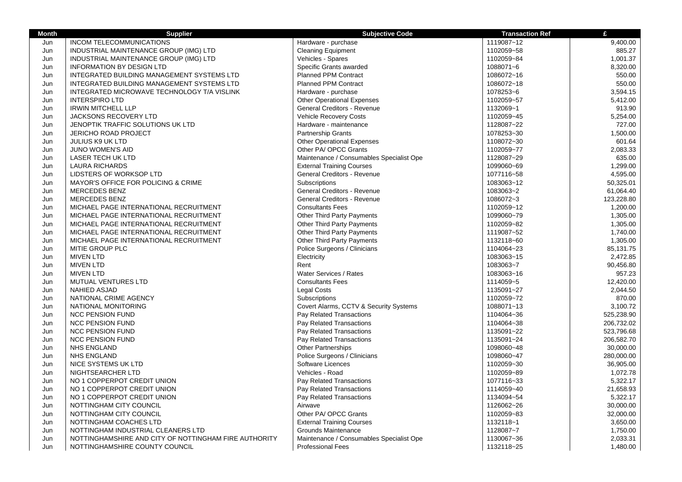| <b>Month</b> | <b>Supplier</b>                                       | <b>Subjective Code</b>                   | <b>Transaction Ref</b> | £          |
|--------------|-------------------------------------------------------|------------------------------------------|------------------------|------------|
| Jun          | INCOM TELECOMMUNICATIONS                              | Hardware - purchase                      | 1119087~12             | 9,400.00   |
| Jun          | INDUSTRIAL MAINTENANCE GROUP (IMG) LTD                | <b>Cleaning Equipment</b>                | 1102059~58             | 885.27     |
| Jun          | INDUSTRIAL MAINTENANCE GROUP (IMG) LTD                | Vehicles - Spares                        | 1102059~84             | 1,001.37   |
| Jun          | <b>INFORMATION BY DESIGN LTD</b>                      | Specific Grants awarded                  | 1088071~6              | 8,320.00   |
| Jun          | INTEGRATED BUILDING MANAGEMENT SYSTEMS LTD            | Planned PPM Contract                     | 1086072~16             | 550.00     |
| Jun          | INTEGRATED BUILDING MANAGEMENT SYSTEMS LTD            | <b>Planned PPM Contract</b>              | 1086072~18             | 550.00     |
| Jun          | INTEGRATED MICROWAVE TECHNOLOGY T/A VISLINK           | Hardware - purchase                      | 1078253~6              | 3,594.15   |
| Jun          | <b>INTERSPIRO LTD</b>                                 | <b>Other Operational Expenses</b>        | 1102059~57             | 5,412.00   |
| Jun          | <b>IRWIN MITCHELL LLP</b>                             | General Creditors - Revenue              | 1132069~1              | 913.90     |
| Jun          | <b>JACKSONS RECOVERY LTD</b>                          | <b>Vehicle Recovery Costs</b>            | 1102059~45             | 5,254.00   |
| Jun          | JENOPTIK TRAFFIC SOLUTIONS UK LTD                     | Hardware - maintenance                   | 1128087~22             | 727.00     |
| Jun          | JERICHO ROAD PROJECT                                  | Partnership Grants                       | 1078253~30             | 1,500.00   |
| Jun          | JULIUS K9 UK LTD                                      | <b>Other Operational Expenses</b>        | 1108072~30             | 601.64     |
| Jun          | <b>JUNO WOMEN'S AID</b>                               | Other PA/ OPCC Grants                    | 1102059~77             | 2,083.33   |
| Jun          | LASER TECH UK LTD                                     | Maintenance / Consumables Specialist Ope | 1128087~29             | 635.00     |
| Jun          | <b>LAURA RICHARDS</b>                                 | <b>External Training Courses</b>         | 1099060~69             | 1,299.00   |
| Jun          | LIDSTERS OF WORKSOP LTD                               | General Creditors - Revenue              | 1077116~58             | 4,595.00   |
| Jun          | MAYOR'S OFFICE FOR POLICING & CRIME                   | Subscriptions                            | 1083063~12             | 50,325.01  |
| Jun          | <b>MERCEDES BENZ</b>                                  | General Creditors - Revenue              | 1083063~2              | 61,064.40  |
| Jun          | <b>MERCEDES BENZ</b>                                  | General Creditors - Revenue              | 1086072~3              | 123,228.80 |
| Jun          | MICHAEL PAGE INTERNATIONAL RECRUITMENT                | <b>Consultants Fees</b>                  | 1102059~12             | 1,200.00   |
| Jun          | MICHAEL PAGE INTERNATIONAL RECRUITMENT                | Other Third Party Payments               | 1099060~79             | 1,305.00   |
| Jun          | MICHAEL PAGE INTERNATIONAL RECRUITMENT                | <b>Other Third Party Payments</b>        | 1102059~82             | 1,305.00   |
| Jun          | MICHAEL PAGE INTERNATIONAL RECRUITMENT                | Other Third Party Payments               | 1119087~52             | 1,740.00   |
| Jun          | MICHAEL PAGE INTERNATIONAL RECRUITMENT                | <b>Other Third Party Payments</b>        | 1132118~60             | 1,305.00   |
| Jun          | MITIE GROUP PLC                                       | Police Surgeons / Clinicians             | 1104064~23             | 85,131.75  |
| Jun          | <b>MIVEN LTD</b>                                      | Electricity                              | 1083063~15             | 2,472.85   |
| Jun          | <b>MIVEN LTD</b>                                      | Rent                                     | 1083063~7              | 90,456.80  |
| Jun          | <b>MIVEN LTD</b>                                      | Water Services / Rates                   | 1083063~16             | 957.23     |
| Jun          | MUTUAL VENTURES LTD                                   | <b>Consultants Fees</b>                  | 1114059~5              | 12,420.00  |
| Jun          | <b>NAHIED ASJAD</b>                                   | <b>Legal Costs</b>                       | 1135091~27             | 2,044.50   |
| Jun          | NATIONAL CRIME AGENCY                                 | Subscriptions                            | 1102059~72             | 870.00     |
| Jun          | NATIONAL MONITORING                                   | Covert Alarms, CCTV & Security Systems   | 1088071~13             | 3,100.72   |
| Jun          | <b>NCC PENSION FUND</b>                               | Pay Related Transactions                 | 1104064~36             | 525,238.90 |
| Jun          | <b>NCC PENSION FUND</b>                               | Pay Related Transactions                 | 1104064~38             | 206,732.02 |
| Jun          | <b>NCC PENSION FUND</b>                               | Pay Related Transactions                 | 1135091~22             | 523,796.68 |
| Jun          | <b>NCC PENSION FUND</b>                               | Pay Related Transactions                 | 1135091~24             | 206,582.70 |
| Jun          | <b>NHS ENGLAND</b>                                    | <b>Other Partnerships</b>                | 1098060~48             | 30,000.00  |
| Jun          | <b>NHS ENGLAND</b>                                    | Police Surgeons / Clinicians             | 1098060~47             | 280,000.00 |
| Jun          | NICE SYSTEMS UK LTD                                   | Software Licences                        | 1102059~30             | 36,905.00  |
| Jun          | NIGHTSEARCHER LTD                                     | Vehicles - Road                          | 1102059~89             | 1,072.78   |
| Jun          | NO 1 COPPERPOT CREDIT UNION                           | Pay Related Transactions                 | 1077116~33             | 5,322.17   |
| Jun          | NO 1 COPPERPOT CREDIT UNION                           | Pay Related Transactions                 | 1114059~40             | 21,658.93  |
| Jun          | NO 1 COPPERPOT CREDIT UNION                           | Pay Related Transactions                 | 1134094~54             | 5,322.17   |
| Jun          | NOTTINGHAM CITY COUNCIL                               | Airwave                                  | 1126062~26             | 30,000.00  |
| Jun          | NOTTINGHAM CITY COUNCIL                               | Other PA/ OPCC Grants                    | 1102059~83             | 32,000.00  |
| Jun          | NOTTINGHAM COACHES LTD                                | <b>External Training Courses</b>         | 1132118~1              | 3,650.00   |
| Jun          | NOTTINGHAM INDUSTRIAL CLEANERS LTD                    | <b>Grounds Maintenance</b>               | 1128087~7              | 1,750.00   |
| Jun          | NOTTINGHAMSHIRE AND CITY OF NOTTINGHAM FIRE AUTHORITY | Maintenance / Consumables Specialist Ope | 1130067~36             | 2,033.31   |
| Jun          | NOTTINGHAMSHIRE COUNTY COUNCIL                        | <b>Professional Fees</b>                 | 1132118~25             | 1,480.00   |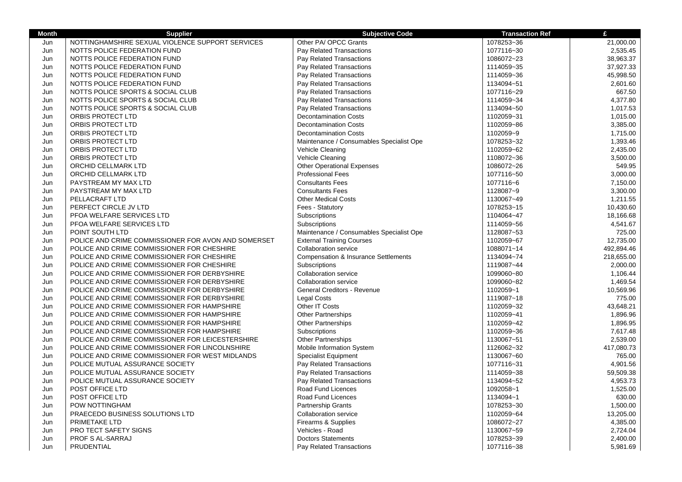| <b>Month</b> | <b>Supplier</b>                                     | <b>Subjective Code</b>                          | <b>Transaction Ref</b>   | £          |
|--------------|-----------------------------------------------------|-------------------------------------------------|--------------------------|------------|
| Jun          | NOTTINGHAMSHIRE SEXUAL VIOLENCE SUPPORT SERVICES    | Other PA/ OPCC Grants                           | 1078253~36               | 21,000.00  |
| Jun          | NOTTS POLICE FEDERATION FUND                        | Pay Related Transactions                        | 1077116~30               | 2,535.45   |
| Jun          | NOTTS POLICE FEDERATION FUND                        | Pay Related Transactions                        | 1086072~23               | 38,963.37  |
| Jun          | NOTTS POLICE FEDERATION FUND                        | Pay Related Transactions                        | 1114059~35               | 37,927.33  |
| Jun          | NOTTS POLICE FEDERATION FUND                        | Pay Related Transactions                        | 1114059~36               | 45,998.50  |
| Jun          | NOTTS POLICE FEDERATION FUND                        | Pay Related Transactions                        | 1134094~51               | 2,601.60   |
| Jun          | NOTTS POLICE SPORTS & SOCIAL CLUB                   | Pay Related Transactions                        | 1077116~29               | 667.50     |
| Jun          | NOTTS POLICE SPORTS & SOCIAL CLUB                   | Pay Related Transactions                        | 1114059~34               | 4,377.80   |
| Jun          | NOTTS POLICE SPORTS & SOCIAL CLUB                   | Pay Related Transactions                        | 1134094~50               | 1,017.53   |
| Jun          | ORBIS PROTECT LTD                                   | <b>Decontamination Costs</b>                    | 1102059~31               | 1,015.00   |
| Jun          | ORBIS PROTECT LTD                                   | <b>Decontamination Costs</b>                    | 1102059~86               | 3,385.00   |
| Jun          | <b>ORBIS PROTECT LTD</b>                            | <b>Decontamination Costs</b>                    | 1102059~9                | 1.715.00   |
| Jun          | ORBIS PROTECT LTD                                   | Maintenance / Consumables Specialist Ope        | 1078253~32               | 1,393.46   |
| Jun          | ORBIS PROTECT LTD                                   | Vehicle Cleaning                                | 1102059~62               | 2,435.00   |
| Jun          | ORBIS PROTECT LTD                                   | Vehicle Cleaning                                | 1108072~36               | 3,500.00   |
| Jun          | ORCHID CELLMARK LTD                                 | <b>Other Operational Expenses</b>               | 1086072~26               | 549.95     |
| Jun          | ORCHID CELLMARK LTD                                 | <b>Professional Fees</b>                        | 1077116~50               | 3,000.00   |
| Jun          | PAYSTREAM MY MAX LTD                                | <b>Consultants Fees</b>                         | 1077116~6                | 7,150.00   |
| Jun          | PAYSTREAM MY MAX LTD                                | <b>Consultants Fees</b>                         | 1128087~9                | 3,300.00   |
| Jun          | PELLACRAFT LTD                                      | <b>Other Medical Costs</b>                      | 1130067~49               | 1,211.55   |
| Jun          | PERFECT CIRCLE JV LTD                               | Fees - Statutory                                | 1078253~15               | 10,430.60  |
| Jun          | PFOA WELFARE SERVICES LTD                           | Subscriptions                                   | 1104064~47               | 18,166.68  |
| Jun          | PFOA WELFARE SERVICES LTD                           | Subscriptions                                   | 1114059~56               | 4,541.67   |
| Jun          | POINT SOUTH LTD                                     | Maintenance / Consumables Specialist Ope        | 1128087~53               | 725.00     |
| Jun          | POLICE AND CRIME COMMISSIONER FOR AVON AND SOMERSET | <b>External Training Courses</b>                | 1102059~67               | 12,735.00  |
| Jun          | POLICE AND CRIME COMMISSIONER FOR CHESHIRE          | <b>Collaboration service</b>                    | 1088071~14               | 492,894.46 |
| Jun          | POLICE AND CRIME COMMISSIONER FOR CHESHIRE          | <b>Compensation &amp; Insurance Settlements</b> | 1134094~74               | 218,655.00 |
| Jun          | POLICE AND CRIME COMMISSIONER FOR CHESHIRE          | Subscriptions                                   | 1119087~44               | 2,000.00   |
| Jun          | POLICE AND CRIME COMMISSIONER FOR DERBYSHIRE        | <b>Collaboration service</b>                    | 1099060~80               | 1,106.44   |
| Jun          | POLICE AND CRIME COMMISSIONER FOR DERBYSHIRE        | <b>Collaboration service</b>                    | 1099060~82               | 1,469.54   |
| Jun          | POLICE AND CRIME COMMISSIONER FOR DERBYSHIRE        | General Creditors - Revenue                     | 1102059~1                | 10,569.96  |
| Jun          | POLICE AND CRIME COMMISSIONER FOR DERBYSHIRE        | <b>Legal Costs</b>                              | 1119087~18               | 775.00     |
| Jun          | POLICE AND CRIME COMMISSIONER FOR HAMPSHIRE         | Other IT Costs                                  | 1102059~32               | 43,648.21  |
| Jun          | POLICE AND CRIME COMMISSIONER FOR HAMPSHIRE         | <b>Other Partnerships</b>                       | 1102059~41               | 1,896.96   |
| Jun          | POLICE AND CRIME COMMISSIONER FOR HAMPSHIRE         | <b>Other Partnerships</b>                       | 1102059~42               | 1,896.95   |
| Jun          | POLICE AND CRIME COMMISSIONER FOR HAMPSHIRE         | Subscriptions                                   | 1102059~36               | 7,617.48   |
| Jun          | POLICE AND CRIME COMMISSIONER FOR LEICESTERSHIRE    | <b>Other Partnerships</b>                       | 1130067~51               | 2,539.00   |
| Jun          | POLICE AND CRIME COMMISSIONER FOR LINCOLNSHIRE      | Mobile Information System                       | 1126062~32               | 417,080.73 |
| Jun          | POLICE AND CRIME COMMISSIONER FOR WEST MIDLANDS     | <b>Specialist Equipment</b>                     | 1130067~60               | 765.00     |
| Jun          | POLICE MUTUAL ASSURANCE SOCIETY                     | Pay Related Transactions                        | 1077116~31               | 4,901.56   |
| Jun          | POLICE MUTUAL ASSURANCE SOCIETY                     | Pay Related Transactions                        | 1114059~38               | 59,509.38  |
| Jun          | POLICE MUTUAL ASSURANCE SOCIETY                     | Pay Related Transactions                        | 1134094~52               | 4,953.73   |
| Jun          | POST OFFICE LTD                                     | Road Fund Licences                              | 1092058~1                | 1,525.00   |
| Jun          | POST OFFICE LTD                                     | Road Fund Licences                              | 1134094~1                | 630.00     |
| Jun          | POW NOTTINGHAM                                      | <b>Partnership Grants</b>                       | 1078253~30               | 1,500.00   |
| Jun          | PRAECEDO BUSINESS SOLUTIONS LTD                     | Collaboration service                           | 1102059~64               | 13,205.00  |
| Jun          | PRIMETAKE LTD                                       | Firearms & Supplies                             | 1086072~27               | 4,385.00   |
| Jun          | PRO TECT SAFETY SIGNS                               | Vehicles - Road<br><b>Doctors Statements</b>    | 1130067~59<br>1078253~39 | 2,724.04   |
| Jun          | PROF S AL-SARRAJ                                    |                                                 |                          | 2,400.00   |
| Jun          | PRUDENTIAL                                          | Pay Related Transactions                        | 1077116~38               | 5,981.69   |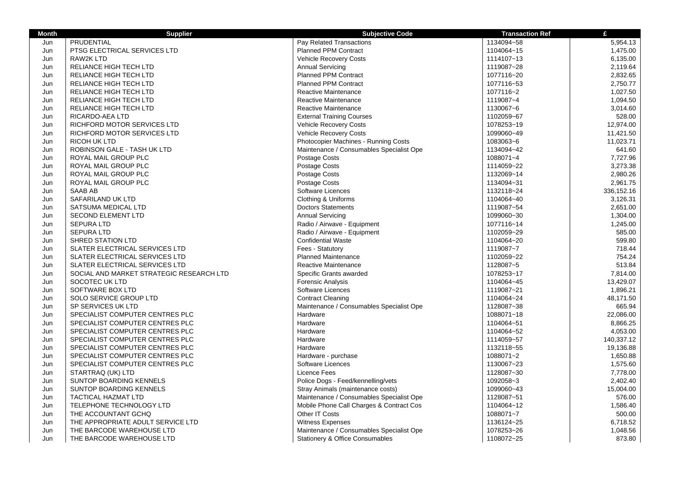| <b>Month</b> | <b>Supplier</b>                          | <b>Subjective Code</b>                   | <b>Transaction Ref</b> | £          |
|--------------|------------------------------------------|------------------------------------------|------------------------|------------|
| Jun          | PRUDENTIAL                               | Pay Related Transactions                 | 1134094~58             | 5,954.13   |
| Jun          | PTSG ELECTRICAL SERVICES LTD             | <b>Planned PPM Contract</b>              | 1104064~15             | 1,475.00   |
| Jun          | <b>RAW2K LTD</b>                         | Vehicle Recovery Costs                   | 1114107~13             | 6,135.00   |
| Jun          | RELIANCE HIGH TECH LTD                   | <b>Annual Servicing</b>                  | 1119087~28             | 2,119.64   |
| Jun          | RELIANCE HIGH TECH LTD                   | <b>Planned PPM Contract</b>              | 1077116~20             | 2,832.65   |
| Jun          | RELIANCE HIGH TECH LTD                   | <b>Planned PPM Contract</b>              | 1077116~53             | 2,750.77   |
| Jun          | RELIANCE HIGH TECH LTD                   | Reactive Maintenance                     | 1077116~2              | 1,027.50   |
| Jun          | RELIANCE HIGH TECH LTD                   | Reactive Maintenance                     | 1119087~4              | 1,094.50   |
| Jun          | RELIANCE HIGH TECH LTD                   | Reactive Maintenance                     | 1130067~6              | 3,014.60   |
| Jun          | RICARDO-AEA LTD                          | <b>External Training Courses</b>         | 1102059~67             | 528.00     |
| Jun          | RICHFORD MOTOR SERVICES LTD              | <b>Vehicle Recovery Costs</b>            | 1078253~19             | 12,974.00  |
| Jun          | RICHFORD MOTOR SERVICES LTD              | Vehicle Recovery Costs                   | 1099060~49             | 11,421.50  |
| Jun          | <b>RICOH UK LTD</b>                      | Photocopier Machines - Running Costs     | 1083063~6              | 11,023.71  |
| Jun          | ROBINSON GALE - TASH UK LTD              | Maintenance / Consumables Specialist Ope | 1134094~42             | 641.60     |
| Jun          | ROYAL MAIL GROUP PLC                     | Postage Costs                            | 1088071~4              | 7,727.96   |
| Jun          | ROYAL MAIL GROUP PLC                     | Postage Costs                            | 1114059~22             | 3,273.38   |
| Jun          | ROYAL MAIL GROUP PLC                     | Postage Costs                            | 1132069~14             | 2,980.26   |
| Jun          | ROYAL MAIL GROUP PLC                     | Postage Costs                            | 1134094~31             | 2,961.75   |
| Jun          | <b>SAAB AB</b>                           | Software Licences                        | 1132118~24             | 336,152.16 |
| Jun          | SAFARILAND UK LTD                        | Clothing & Uniforms                      | 1104064~40             | 3,126.31   |
| Jun          | SATSUMA MEDICAL LTD                      | <b>Doctors Statements</b>                | 1119087~54             | 2,651.00   |
| Jun          | <b>SECOND ELEMENT LTD</b>                | <b>Annual Servicing</b>                  | 1099060~30             | 1,304.00   |
| Jun          | <b>SEPURA LTD</b>                        | Radio / Airwave - Equipment              | 1077116~14             | 1,245.00   |
| Jun          | <b>SEPURA LTD</b>                        | Radio / Airwave - Equipment              | 1102059~29             | 585.00     |
| Jun          | SHRED STATION LTD                        | <b>Confidential Waste</b>                | 1104064~20             | 599.80     |
| Jun          | SLATER ELECTRICAL SERVICES LTD           | Fees - Statutory                         | 1119087~7              | 718.44     |
| Jun          | SLATER ELECTRICAL SERVICES LTD           | <b>Planned Maintenance</b>               | 1102059~22             | 754.24     |
| Jun          | SLATER ELECTRICAL SERVICES LTD           | Reactive Maintenance                     | 1128087~5              | 513.84     |
| Jun          | SOCIAL AND MARKET STRATEGIC RESEARCH LTD | Specific Grants awarded                  | 1078253~17             | 7,814.00   |
| Jun          | SOCOTEC UK LTD                           | <b>Forensic Analysis</b>                 | 1104064~45             | 13,429.07  |
| Jun          | SOFTWARE BOX LTD                         | Software Licences                        | 1119087~21             | 1,896.21   |
| Jun          | SOLO SERVICE GROUP LTD                   | <b>Contract Cleaning</b>                 | 1104064~24             | 48,171.50  |
| Jun          | SP SERVICES UK LTD                       | Maintenance / Consumables Specialist Ope | 1128087~38             | 665.94     |
| Jun          | SPECIALIST COMPUTER CENTRES PLC          | Hardware                                 | 1088071~18             | 22,086.00  |
| Jun          | SPECIALIST COMPUTER CENTRES PLC          | Hardware                                 | 1104064~51             | 8,866.25   |
| Jun          | SPECIALIST COMPUTER CENTRES PLC          | Hardware                                 | 1104064~52             | 4,053.00   |
| Jun          | SPECIALIST COMPUTER CENTRES PLC          | Hardware                                 | 1114059~57             | 140,337.12 |
| Jun          | SPECIALIST COMPUTER CENTRES PLC          | Hardware                                 | 1132118~55             | 19,136.88  |
| Jun          | SPECIALIST COMPUTER CENTRES PLC          | Hardware - purchase                      | 1088071~2              | 1,650.88   |
| Jun          | SPECIALIST COMPUTER CENTRES PLC          | Software Licences                        | 1130067~23             | 1,575.60   |
| Jun          | STARTRAQ (UK) LTD                        | <b>Licence Fees</b>                      | 1128087~30             | 7,778.00   |
| Jun          | <b>SUNTOP BOARDING KENNELS</b>           | Police Dogs - Feed/kennelling/vets       | 1092058~3              | 2,402.40   |
| Jun          | SUNTOP BOARDING KENNELS                  | Stray Animals (maintenance costs)        | 1099060~43             | 15,004.00  |
| Jun          | <b>TACTICAL HAZMAT LTD</b>               | Maintenance / Consumables Specialist Ope | 1128087~51             | 576.00     |
| Jun          | TELEPHONE TECHNOLOGY LTD                 | Mobile Phone Call Charges & Contract Cos | 1104064~12             | 1,586.40   |
| Jun          | THE ACCOUNTANT GCHQ                      | Other IT Costs                           | 1088071~7              | 500.00     |
| Jun          | THE APPROPRIATE ADULT SERVICE LTD        | Witness Expenses                         | 1136124~25             | 6,718.52   |
| Jun          | THE BARCODE WAREHOUSE LTD                | Maintenance / Consumables Specialist Ope | 1078253~26             | 1,048.56   |
| Jun          | THE BARCODE WAREHOUSE LTD                | Stationery & Office Consumables          | 1108072~25             | 873.80     |